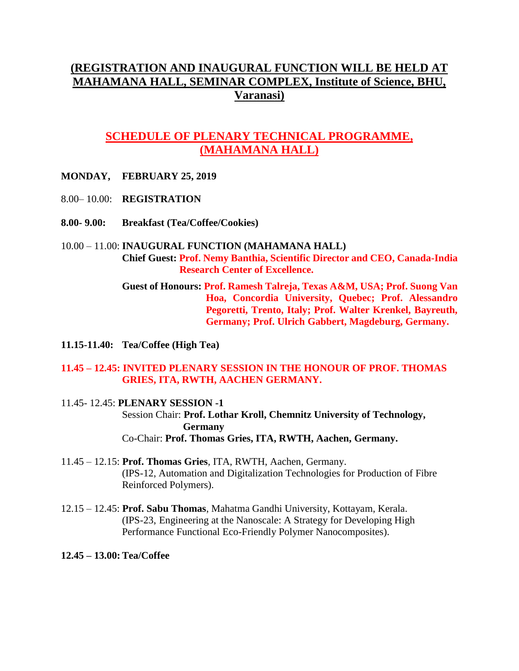# **(REGISTRATION AND INAUGURAL FUNCTION WILL BE HELD AT MAHAMANA HALL, SEMINAR COMPLEX, Institute of Science, BHU, Varanasi)**

# **SCHEDULE OF PLENARY TECHNICAL PROGRAMME, (MAHAMANA HALL)**

- **MONDAY, FEBRUARY 25, 2019**
- 8.00– 10.00: **REGISTRATION**
- **8.00- 9.00: Breakfast (Tea/Coffee/Cookies)**

## 10.00 – 11.00: **INAUGURAL FUNCTION (MAHAMANA HALL) Chief Guest: Prof. Nemy Banthia, Scientific Director and CEO, Canada-India Research Center of Excellence.**

**Guest of Honours: Prof. Ramesh Talreja, Texas A&M, USA; Prof. Suong Van Hoa, Concordia University, Quebec; Prof. Alessandro Pegoretti, Trento, Italy; Prof. Walter Krenkel, Bayreuth, Germany; Prof. Ulrich Gabbert, Magdeburg, Germany.**

**11.15-11.40: Tea/Coffee (High Tea)**

## **11.45 – 12.45: INVITED PLENARY SESSION IN THE HONOUR OF PROF. THOMAS GRIES, ITA, RWTH, AACHEN GERMANY.**

- 11.45- 12.45: **PLENARY SESSION -1** Session Chair: **Prof. Lothar Kroll, Chemnitz University of Technology, Germany** Co-Chair: **Prof. Thomas Gries, ITA, RWTH, Aachen, Germany.**
- 11.45 12.15: **Prof. Thomas Gries**, ITA, RWTH, Aachen, Germany. (IPS-12, Automation and Digitalization Technologies for Production of Fibre Reinforced Polymers).
- 12.15 12.45: **Prof. Sabu Thomas**, Mahatma Gandhi University, Kottayam, Kerala. (IPS-23, Engineering at the Nanoscale: A Strategy for Developing High Performance Functional Eco-Friendly Polymer Nanocomposites).
- **12.45 – 13.00: Tea/Coffee**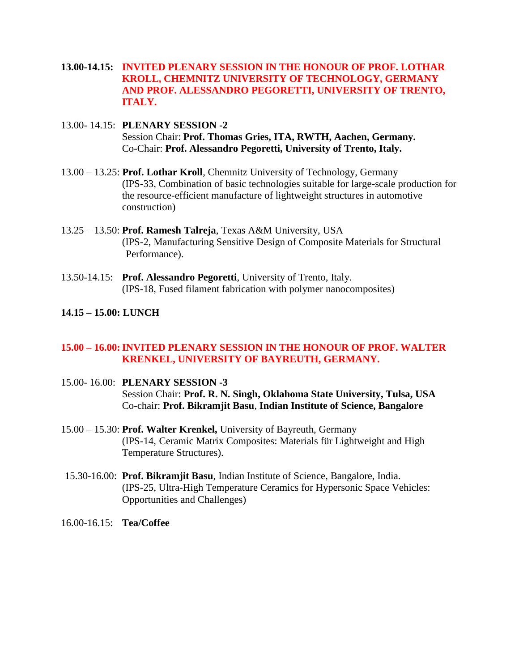- **13.00-14.15: INVITED PLENARY SESSION IN THE HONOUR OF PROF. LOTHAR KROLL, CHEMNITZ UNIVERSITY OF TECHNOLOGY, GERMANY AND PROF. ALESSANDRO PEGORETTI, UNIVERSITY OF TRENTO, ITALY.**
- 13.00- 14.15: **PLENARY SESSION -2** Session Chair: **Prof. Thomas Gries, ITA, RWTH, Aachen, Germany.** Co-Chair: **Prof. Alessandro Pegoretti, University of Trento, Italy.**
- 13.00 13.25: **Prof. Lothar Kroll**, Chemnitz University of Technology, Germany (IPS-33, Combination of basic technologies suitable for large-scale production for the resource-efficient manufacture of lightweight structures in automotive construction)
- 13.25 13.50: **Prof. Ramesh Talreja**, Texas A&M University, USA (IPS-2, Manufacturing Sensitive Design of Composite Materials for Structural Performance).
- 13.50-14.15: **Prof. Alessandro Pegoretti**, University of Trento, Italy. (IPS-18, Fused filament fabrication with polymer nanocomposites)

## **14.15 – 15.00: LUNCH**

## **15.00 – 16.00:INVITED PLENARY SESSION IN THE HONOUR OF PROF. WALTER KRENKEL, UNIVERSITY OF BAYREUTH, GERMANY.**

- 15.00- 16.00: **PLENARY SESSION -3** Session Chair: **Prof. R. N. Singh, Oklahoma State University, Tulsa, USA** Co-chair: **Prof. Bikramjit Basu**, **Indian Institute of Science, Bangalore**
- 15.00 15.30: **Prof. Walter Krenkel,** University of Bayreuth, Germany (IPS-14, Ceramic Matrix Composites: Materials für Lightweight and High Temperature Structures).
- 15.30-16.00: **Prof. Bikramjit Basu**, Indian Institute of Science, Bangalore, India. (IPS-25, Ultra-High Temperature Ceramics for Hypersonic Space Vehicles: Opportunities and Challenges)
- 16.00-16.15: **Tea/Coffee**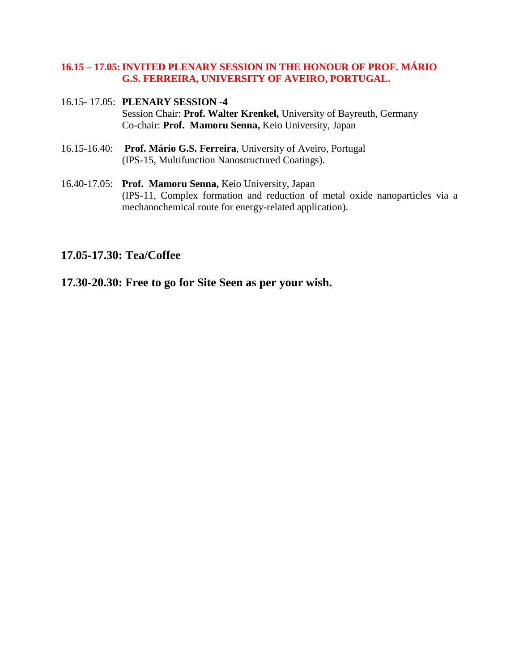## **16.15 – 17.05:INVITED PLENARY SESSION IN THE HONOUR OF PROF. MÁRIO G.S. FERREIRA, UNIVERSITY OF AVEIRO, PORTUGAL.**

- 16.15- 17.05: **PLENARY SESSION -4** Session Chair: **Prof. Walter Krenkel,** University of Bayreuth, Germany Co-chair: **Prof. Mamoru Senna,** Keio University, Japan
- 16.15-16.40: **Prof. Mário G.S. Ferreira**, University of Aveiro, Portugal (IPS-15, Multifunction Nanostructured Coatings).
- 16.40-17.05: **Prof. Mamoru Senna,** Keio University, Japan (IPS-11, Complex formation and reduction of metal oxide nanoparticles via a mechanochemical route for energy-related application).

## **17.05-17.30: Tea/Coffee**

**17.30-20.30: Free to go for Site Seen as per your wish.**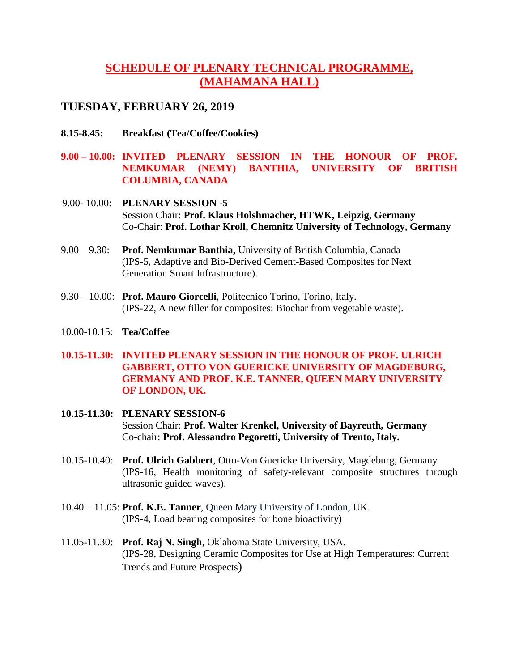# **SCHEDULE OF PLENARY TECHNICAL PROGRAMME, (MAHAMANA HALL)**

## **TUESDAY, FEBRUARY 26, 2019**

- **8.15-8.45: Breakfast (Tea/Coffee/Cookies)**
- **9.00 – 10.00: INVITED PLENARY SESSION IN THE HONOUR OF PROF. NEMKUMAR (NEMY) BANTHIA, UNIVERSITY OF BRITISH COLUMBIA, CANADA**
- 9.00- 10.00: **PLENARY SESSION -5** Session Chair: **Prof. Klaus Holshmacher, HTWK, Leipzig, Germany** Co-Chair: **Prof. Lothar Kroll, Chemnitz University of Technology, Germany**
- 9.00 9.30: **Prof. Nemkumar Banthia,** University of British Columbia, Canada (IPS-5, Adaptive and Bio-Derived Cement-Based Composites for Next Generation Smart Infrastructure).
- 9.30 10.00: **Prof. Mauro Giorcelli**, Politecnico Torino, Torino, Italy. (IPS-22, A new filler for composites: Biochar from vegetable waste).
- 10.00-10.15: **Tea/Coffee**
- **10.15-11.30: INVITED PLENARY SESSION IN THE HONOUR OF PROF. ULRICH GABBERT, OTTO VON GUERICKE UNIVERSITY OF MAGDEBURG, GERMANY AND PROF. K.E. TANNER, QUEEN MARY UNIVERSITY OF LONDON, UK.**
- **10.15-11.30: PLENARY SESSION-6** Session Chair: **Prof. Walter Krenkel, University of Bayreuth, Germany** Co-chair: **Prof. Alessandro Pegoretti, University of Trento, Italy.**
- 10.15-10.40: **Prof. Ulrich Gabbert**, Otto-Von Guericke University, Magdeburg, Germany (IPS-16, Health monitoring of safety-relevant composite structures through ultrasonic guided waves).
- 10.40 11.05: **Prof. K.E. Tanner**, Queen Mary University of London, UK. (IPS-4, Load bearing composites for bone bioactivity)
- 11.05-11.30: **Prof. Raj N. Singh**, Oklahoma State University, USA. (IPS-28, Designing Ceramic Composites for Use at High Temperatures: Current Trends and Future Prospects)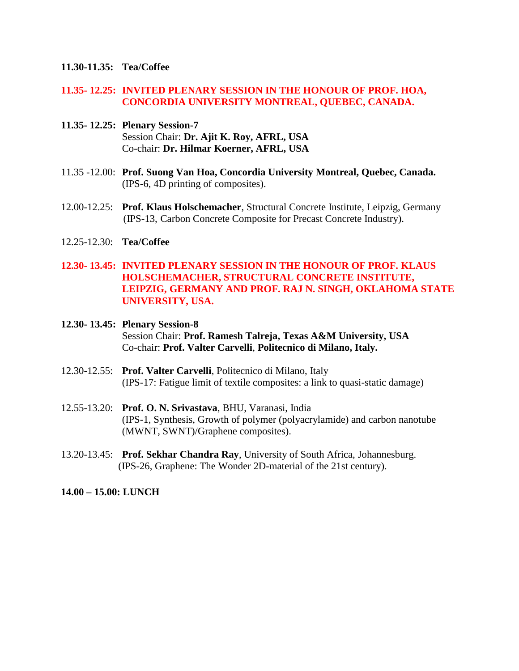### **11.30-11.35: Tea/Coffee**

### **11.35- 12.25: INVITED PLENARY SESSION IN THE HONOUR OF PROF. HOA, CONCORDIA UNIVERSITY MONTREAL, QUEBEC, CANADA.**

- **11.35- 12.25: Plenary Session-7** Session Chair: **Dr. Ajit K. Roy, AFRL, USA** Co-chair: **Dr. Hilmar Koerner, AFRL, USA**
- 11.35 -12.00: **Prof. Suong Van Hoa, Concordia University Montreal, Quebec, Canada.** (IPS-6, 4D printing of composites).
- 12.00-12.25: **Prof. Klaus Holschemacher**, Structural Concrete Institute, Leipzig, Germany (IPS-13, Carbon Concrete Composite for Precast Concrete Industry).
- 12.25-12.30: **Tea/Coffee**

## **12.30- 13.45: INVITED PLENARY SESSION IN THE HONOUR OF PROF. KLAUS HOLSCHEMACHER, STRUCTURAL CONCRETE INSTITUTE, LEIPZIG, GERMANY AND PROF. RAJ N. SINGH, OKLAHOMA STATE UNIVERSITY, USA.**

## **12.30- 13.45: Plenary Session-8** Session Chair: **Prof. Ramesh Talreja, Texas A&M University, USA** Co-chair: **Prof. Valter Carvelli**, **Politecnico di Milano, Italy.**

- 12.30-12.55: **Prof. Valter Carvelli**, Politecnico di Milano, Italy (IPS-17: Fatigue limit of textile composites: a link to quasi-static damage)
- 12.55-13.20: **Prof. O. N. Srivastava**, BHU, Varanasi, India (IPS-1, Synthesis, Growth of polymer (polyacrylamide) and carbon nanotube (MWNT, SWNT)/Graphene composites).
- 13.20-13.45: **Prof. Sekhar Chandra Ray**, University of South Africa, Johannesburg. (IPS-26, Graphene: The Wonder 2D-material of the 21st century).

**14.00 – 15.00: LUNCH**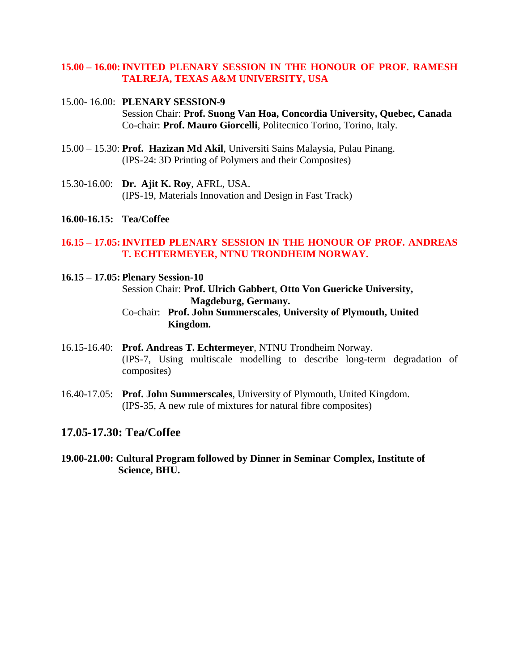## **15.00 – 16.00:INVITED PLENARY SESSION IN THE HONOUR OF PROF. RAMESH TALREJA, TEXAS A&M UNIVERSITY, USA**

### 15.00- 16.00: **PLENARY SESSION-9** Session Chair: **Prof. Suong Van Hoa, Concordia University, Quebec, Canada** Co-chair: **Prof. Mauro Giorcelli**, Politecnico Torino, Torino, Italy.

- 15.00 15.30: **Prof. Hazizan Md Akil**, Universiti Sains Malaysia, Pulau Pinang. (IPS-24: 3D Printing of Polymers and their Composites)
- 15.30-16.00: **Dr. Ajit K. Roy**, AFRL, USA. (IPS-19, Materials Innovation and Design in Fast Track)
- **16.00-16.15: Tea/Coffee**

### **16.15 – 17.05:INVITED PLENARY SESSION IN THE HONOUR OF PROF. ANDREAS T. ECHTERMEYER, NTNU TRONDHEIM NORWAY.**

### **16.15 – 17.05: Plenary Session-10**

Session Chair: **Prof. Ulrich Gabbert**, **Otto Von Guericke University, Magdeburg, Germany.**

## Co-chair: **Prof. John Summerscales**, **University of Plymouth, United Kingdom.**

- 16.15-16.40: **Prof. Andreas T. Echtermeyer**, NTNU Trondheim Norway. (IPS-7, Using multiscale modelling to describe long-term degradation of composites)
- 16.40-17.05: **Prof. John Summerscales**, University of Plymouth, United Kingdom. (IPS-35, A new rule of mixtures for natural fibre composites)

## **17.05-17.30: Tea/Coffee**

**19.00-21.00: Cultural Program followed by Dinner in Seminar Complex, Institute of Science, BHU.**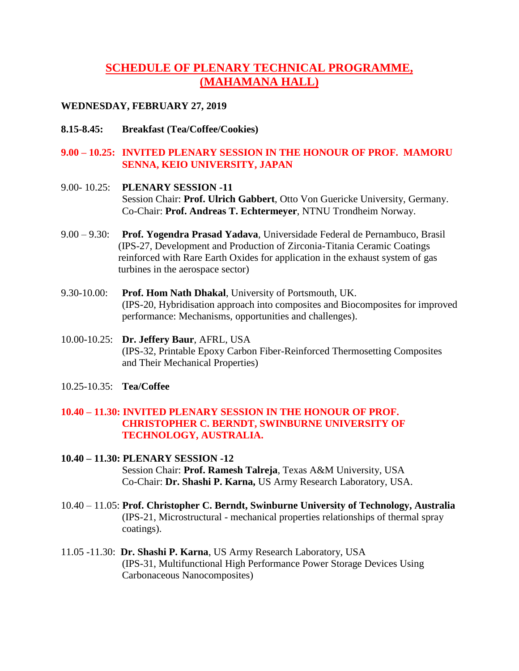# **SCHEDULE OF PLENARY TECHNICAL PROGRAMME, (MAHAMANA HALL)**

### **WEDNESDAY, FEBRUARY 27, 2019**

**8.15-8.45: Breakfast (Tea/Coffee/Cookies)**

## **9.00 – 10.25: INVITED PLENARY SESSION IN THE HONOUR OF PROF. MAMORU SENNA, KEIO UNIVERSITY, JAPAN**

- 9.00- 10.25: **PLENARY SESSION -11** Session Chair: **Prof. Ulrich Gabbert**, Otto Von Guericke University, Germany. Co-Chair: **Prof. Andreas T. Echtermeyer**, NTNU Trondheim Norway.
- 9.00 9.30: **Prof. Yogendra Prasad Yadava**, Universidade Federal de Pernambuco, Brasil (IPS-27, Development and Production of Zirconia-Titania Ceramic Coatings reinforced with Rare Earth Oxides for application in the exhaust system of gas turbines in the aerospace sector)
- 9.30-10.00: **Prof. Hom Nath Dhakal**, University of Portsmouth, UK. (IPS-20, Hybridisation approach into composites and Biocomposites for improved performance: Mechanisms, opportunities and challenges).
- 10.00-10.25: **Dr. Jeffery Baur**, AFRL, USA (IPS-32, Printable Epoxy Carbon Fiber-Reinforced Thermosetting Composites and Their Mechanical Properties)
- 10.25-10.35: **Tea/Coffee**

## **10.40 – 11.30: INVITED PLENARY SESSION IN THE HONOUR OF PROF. CHRISTOPHER C. BERNDT, SWINBURNE UNIVERSITY OF TECHNOLOGY, AUSTRALIA.**

- **10.40 – 11.30: PLENARY SESSION -12** Session Chair: **Prof. Ramesh Talreja**, Texas A&M University, USA Co-Chair: **Dr. Shashi P. Karna,** US Army Research Laboratory, USA.
- 10.40 11.05: **Prof. Christopher C. Berndt, Swinburne University of Technology, Australia** (IPS-21, Microstructural - mechanical properties relationships of thermal spray coatings).
- 11.05 -11.30: **Dr. Shashi P. Karna**, US Army Research Laboratory, USA (IPS-31, Multifunctional High Performance Power Storage Devices Using Carbonaceous Nanocomposites)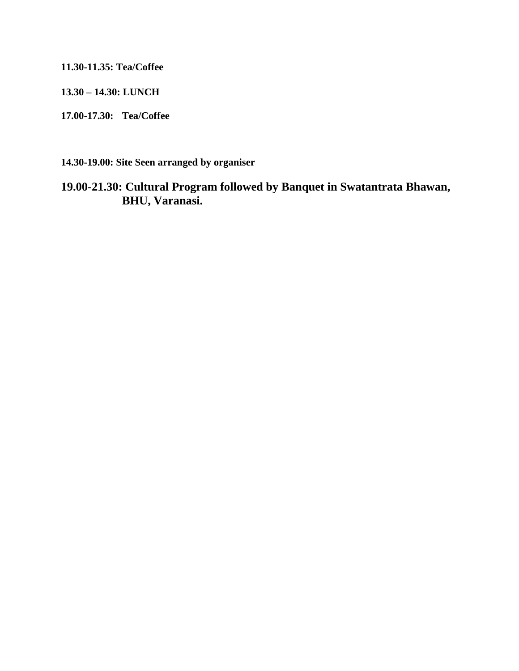**11.30-11.35: Tea/Coffee**

**13.30 – 14.30: LUNCH**

**17.00-17.30: Tea/Coffee**

**14.30-19.00: Site Seen arranged by organiser**

# **19.00-21.30: Cultural Program followed by Banquet in Swatantrata Bhawan, BHU, Varanasi.**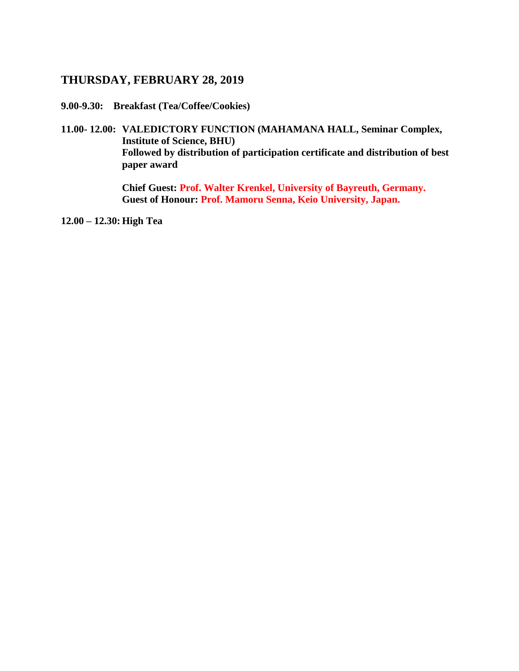## **THURSDAY, FEBRUARY 28, 2019**

**9.00-9.30: Breakfast (Tea/Coffee/Cookies)**

**11.00- 12.00: VALEDICTORY FUNCTION (MAHAMANA HALL, Seminar Complex, Institute of Science, BHU) Followed by distribution of participation certificate and distribution of best paper award**

> **Chief Guest: Prof. Walter Krenkel, University of Bayreuth, Germany. Guest of Honour: Prof. Mamoru Senna, Keio University, Japan.**

**12.00 – 12.30: High Tea**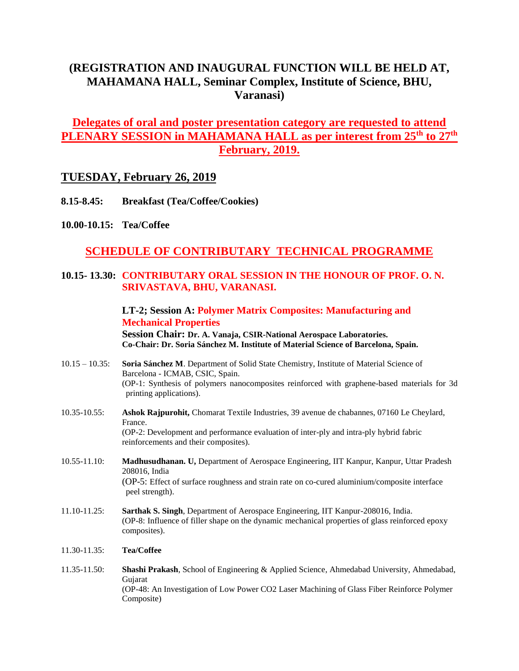# **(REGISTRATION AND INAUGURAL FUNCTION WILL BE HELD AT, MAHAMANA HALL, Seminar Complex, Institute of Science, BHU, Varanasi)**

# **Delegates of oral and poster presentation category are requested to attend PLENARY SESSION in MAHAMANA HALL as per interest from 25th to 27th February, 2019.**

## **TUESDAY, February 26, 2019**

- **8.15-8.45: Breakfast (Tea/Coffee/Cookies)**
- **10.00-10.15: Tea/Coffee**

# **SCHEDULE OF CONTRIBUTARY TECHNICAL PROGRAMME**

## **10.15- 13.30: CONTRIBUTARY ORAL SESSION IN THE HONOUR OF PROF. O. N. SRIVASTAVA, BHU, VARANASI.**

## **LT-2; Session A: Polymer Matrix Composites: Manufacturing and Mechanical Properties**

**Session Chair: Dr. A. Vanaja, CSIR-National Aerospace Laboratories. Co-Chair: Dr. Soria Sánchez M. Institute of Material Science of Barcelona, Spain.**

- 10.15 10.35: **Soria Sánchez M**. Department of Solid State Chemistry, Institute of Material Science of Barcelona - ICMAB, CSIC, Spain. (OP-1: Synthesis of polymers nanocomposites reinforced with graphene-based materials for 3d printing applications).
- 10.35-10.55: **Ashok Rajpurohit,** Chomarat Textile Industries, 39 avenue de chabannes, 07160 Le Cheylard, France. (OP-2: Development and performance evaluation of inter-ply and intra-ply hybrid fabric reinforcements and their composites).
- 10.55-11.10: **Madhusudhanan. U,** Department of Aerospace Engineering, IIT Kanpur, Kanpur, Uttar Pradesh 208016, India (OP-5: Effect of surface roughness and strain rate on co-cured aluminium/composite interface peel strength).
- 11.10-11.25: **Sarthak S. Singh**, Department of Aerospace Engineering, IIT Kanpur-208016, India. (OP-8: Influence of filler shape on the dynamic mechanical properties of glass reinforced epoxy composites).
- 11.30-11.35: **Tea/Coffee**
- 11.35-11.50: **Shashi Prakash**, School of Engineering & Applied Science, Ahmedabad University, Ahmedabad, Gujarat (OP-48: An Investigation of Low Power CO2 Laser Machining of Glass Fiber Reinforce Polymer Composite)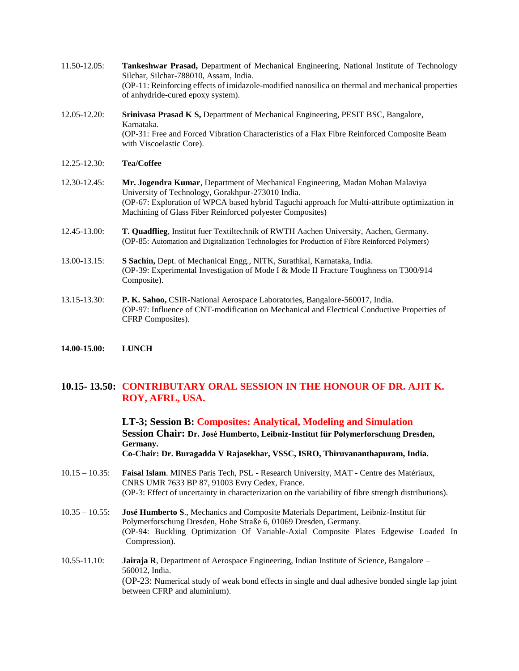- 11.50-12.05: **Tankeshwar Prasad,** Department of Mechanical Engineering, National Institute of Technology Silchar, Silchar-788010, Assam, India. (OP-11: Reinforcing effects of imidazole-modified nanosilica on thermal and mechanical properties of anhydride-cured epoxy system).
- 12.05-12.20: **Srinivasa Prasad K S,** Department of Mechanical Engineering, PESIT BSC, Bangalore, Karnataka. (OP-31: Free and Forced Vibration Characteristics of a Flax Fibre Reinforced Composite Beam with Viscoelastic Core).
- 12.25-12.30: **Tea/Coffee**
- 12.30-12.45: **Mr. Jogendra Kumar**, Department of Mechanical Engineering, Madan Mohan Malaviya University of Technology, Gorakhpur-273010 India. (OP-67: Exploration of WPCA based hybrid Taguchi approach for Multi-attribute optimization in Machining of Glass Fiber Reinforced polyester Composites)
- 12.45-13.00: **T. Quadflieg**, Institut fuer Textiltechnik of RWTH Aachen University, Aachen, Germany. (OP-85: Automation and Digitalization Technologies for Production of Fibre Reinforced Polymers)
- 13.00-13.15: **S Sachin,** Dept. of Mechanical Engg., NITK, Surathkal, Karnataka, India. (OP-39: Experimental Investigation of Mode I & Mode II Fracture Toughness on T300/914 Composite).
- 13.15-13.30: **P. K. Sahoo,** CSIR-National Aerospace Laboratories, Bangalore-560017, India. (OP-97: Influence of CNT-modification on Mechanical and Electrical Conductive Properties of CFRP Composites).
- **14.00-15.00: LUNCH**

### **10.15- 13.50: CONTRIBUTARY ORAL SESSION IN THE HONOUR OF DR. AJIT K. ROY, AFRL, USA.**

**LT-3; Session B: Composites: Analytical, Modeling and Simulation Session Chair: Dr. José Humberto, Leibniz-Institut für Polymerforschung Dresden, Germany. Co-Chair: Dr. Buragadda V Rajasekhar, VSSC, ISRO, Thiruvananthapuram, India.**

- 10.15 10.35: **Faisal Islam**. MINES Paris Tech, PSL Research University, MAT Centre des Matériaux, CNRS UMR 7633 BP 87, 91003 Evry Cedex, France. (OP-3: Effect of uncertainty in characterization on the variability of fibre strength distributions).
- 10.35 10.55: **José Humberto S**., Mechanics and Composite Materials Department, Leibniz-Institut für Polymerforschung Dresden, Hohe Straße 6, 01069 Dresden, Germany. (OP-94: Buckling Optimization Of Variable-Axial Composite Plates Edgewise Loaded In Compression).
- 10.55-11.10: **Jairaja R**, Department of Aerospace Engineering, Indian Institute of Science, Bangalore 560012, India. (OP-23: Numerical study of weak bond effects in single and dual adhesive bonded single lap joint between CFRP and aluminium).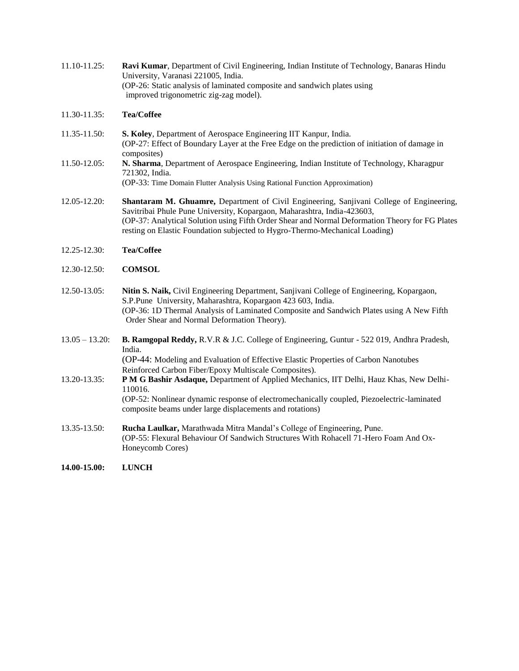11.10-11.25: **Ravi Kumar**, Department of Civil Engineering, Indian Institute of Technology, Banaras Hindu University, Varanasi 221005, India. (OP-26: Static analysis of laminated composite and sandwich plates using improved trigonometric zig-zag model).

#### 11.30-11.35: **Tea/Coffee**

- 11.35-11.50: **S. Koley**, Department of Aerospace Engineering IIT Kanpur, India. (OP-27: Effect of Boundary Layer at the Free Edge on the prediction of initiation of damage in composites)
- 11.50-12.05: **N. Sharma**, Department of Aerospace Engineering, Indian Institute of Technology, Kharagpur 721302, India.

(OP-33: Time Domain Flutter Analysis Using Rational Function Approximation)

- 12.05-12.20: **Shantaram M. Ghuamre,** Department of Civil Engineering, Sanjivani College of Engineering, Savitribai Phule Pune University, Kopargaon, Maharashtra, India-423603, (OP-37: Analytical Solution using Fifth Order Shear and Normal Deformation Theory for FG Plates resting on Elastic Foundation subjected to Hygro-Thermo-Mechanical Loading)
- 12.25-12.30: **Tea/Coffee**
- 12.30-12.50: **COMSOL**
- 12.50-13.05: **Nitin S. Naik,** Civil Engineering Department, Sanjivani College of Engineering, Kopargaon, S.P.Pune University, Maharashtra, Kopargaon 423 603, India. (OP-36: 1D Thermal Analysis of Laminated Composite and Sandwich Plates using A New Fifth Order Shear and Normal Deformation Theory).
- 13.05 13.20: **B. Ramgopal Reddy,** R.V.R & J.C. College of Engineering, Guntur 522 019, Andhra Pradesh, India.

(OP-44: Modeling and Evaluation of Effective Elastic Properties of Carbon Nanotubes Reinforced Carbon Fiber/Epoxy Multiscale Composites).

13.20-13.35: **P M G Bashir Asdaque,** Department of Applied Mechanics, IIT Delhi, Hauz Khas, New Delhi-110016.

(OP-52: Nonlinear dynamic response of electromechanically coupled, Piezoelectric-laminated composite beams under large displacements and rotations)

13.35-13.50: **Rucha Laulkar,** Marathwada Mitra Mandal's College of Engineering, Pune. (OP-55: Flexural Behaviour Of Sandwich Structures With Rohacell 71-Hero Foam And Ox-Honeycomb Cores)

**14.00-15.00: LUNCH**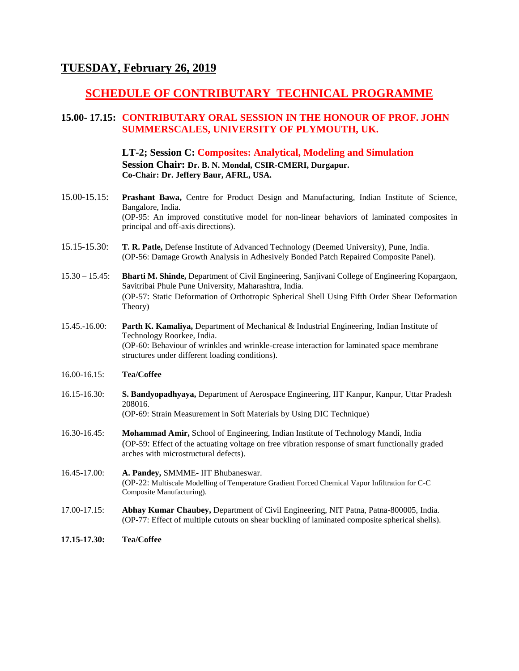## **TUESDAY, February 26, 2019**

## **SCHEDULE OF CONTRIBUTARY TECHNICAL PROGRAMME**

## **15.00- 17.15: CONTRIBUTARY ORAL SESSION IN THE HONOUR OF PROF. JOHN SUMMERSCALES, UNIVERSITY OF PLYMOUTH, UK.**

**LT-2; Session C: Composites: Analytical, Modeling and Simulation Session Chair: Dr. B. N. Mondal, CSIR-CMERI, Durgapur. Co-Chair: Dr. Jeffery Baur, AFRL, USA.**

- 15.00-15.15: **Prashant Bawa,** Centre for Product Design and Manufacturing, Indian Institute of Science, Bangalore, India. (OP-95: An improved constitutive model for non-linear behaviors of laminated composites in principal and off-axis directions).
- 15.15-15.30: **T. R. Patle,** Defense Institute of Advanced Technology (Deemed University), Pune, India. (OP-56: Damage Growth Analysis in Adhesively Bonded Patch Repaired Composite Panel).
- 15.30 15.45: **Bharti M. Shinde,** Department of Civil Engineering, Sanjivani College of Engineering Kopargaon, Savitribai Phule Pune University, Maharashtra, India. (OP-57: Static Deformation of Orthotropic Spherical Shell Using Fifth Order Shear Deformation Theory)
- 15.45.-16.00: **Parth K. Kamaliya,** Department of Mechanical & Industrial Engineering, Indian Institute of Technology Roorkee, India. (OP-60: Behaviour of wrinkles and wrinkle-crease interaction for laminated space membrane structures under different loading conditions).
- 16.00-16.15: **Tea/Coffee**
- 16.15-16.30: **S. Bandyopadhyaya,** Department of Aerospace Engineering, IIT Kanpur, Kanpur, Uttar Pradesh 208016. (OP-69: Strain Measurement in Soft Materials by Using DIC Technique)
- 16.30-16.45: **Mohammad Amir,** School of Engineering, Indian Institute of Technology Mandi, India (OP-59: Effect of the actuating voltage on free vibration response of smart functionally graded arches with microstructural defects).
- 16.45-17.00: **A. Pandey,** SMMME- IIT Bhubaneswar. (OP-22: Multiscale Modelling of Temperature Gradient Forced Chemical Vapor Infiltration for C-C Composite Manufacturing).
- 17.00-17.15: **Abhay Kumar Chaubey,** Department of Civil Engineering, NIT Patna, Patna-800005, India. (OP-77: Effect of multiple cutouts on shear buckling of laminated composite spherical shells).
- **17.15-17.30: Tea/Coffee**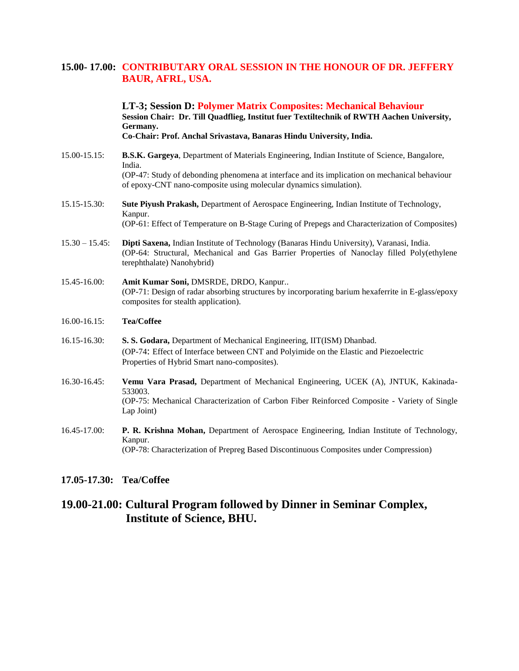### **15.00- 17.00: CONTRIBUTARY ORAL SESSION IN THE HONOUR OF DR. JEFFERY BAUR, AFRL, USA.**

**LT-3; Session D: Polymer Matrix Composites: Mechanical Behaviour Session Chair: Dr. Till Quadflieg, Institut fuer Textiltechnik of RWTH Aachen University, Germany. Co-Chair: Prof. Anchal Srivastava, Banaras Hindu University, India.**

- 15.00-15.15: **B.S.K. Gargeya**, Department of Materials Engineering, Indian Institute of Science, Bangalore, India. (OP-47: Study of debonding phenomena at interface and its implication on mechanical behaviour of epoxy-CNT nano-composite using molecular dynamics simulation).
- 15.15-15.30: **Sute Piyush Prakash,** Department of Aerospace Engineering, Indian Institute of Technology, Kanpur. (OP-61: Effect of Temperature on B-Stage Curing of Prepegs and Characterization of Composites)
- 15.30 15.45: **Dipti Saxena,** Indian Institute of Technology (Banaras Hindu University), Varanasi, India. (OP-64: Structural, Mechanical and Gas Barrier Properties of Nanoclay filled Poly(ethylene terephthalate) Nanohybrid)
- 15.45-16.00: **Amit Kumar Soni,** DMSRDE, DRDO, Kanpur.. (OP-71: Design of radar absorbing structures by incorporating barium hexaferrite in E-glass/epoxy composites for stealth application).

#### 16.00-16.15: **Tea/Coffee**

- 16.15-16.30: **S. S. Godara,** Department of Mechanical Engineering, IIT(ISM) Dhanbad. (OP-74: Effect of Interface between CNT and Polyimide on the Elastic and Piezoelectric Properties of Hybrid Smart nano-composites).
- 16.30-16.45: **Vemu Vara Prasad,** Department of Mechanical Engineering, UCEK (A), JNTUK, Kakinada-533003. (OP-75: Mechanical Characterization of Carbon Fiber Reinforced Composite - Variety of Single Lap Joint)
- 16.45-17.00: **P. R. Krishna Mohan,** Department of Aerospace Engineering, Indian Institute of Technology, Kanpur. (OP-78: Characterization of Prepreg Based Discontinuous Composites under Compression)

### **17.05-17.30: Tea/Coffee**

## **19.00-21.00: Cultural Program followed by Dinner in Seminar Complex, Institute of Science, BHU.**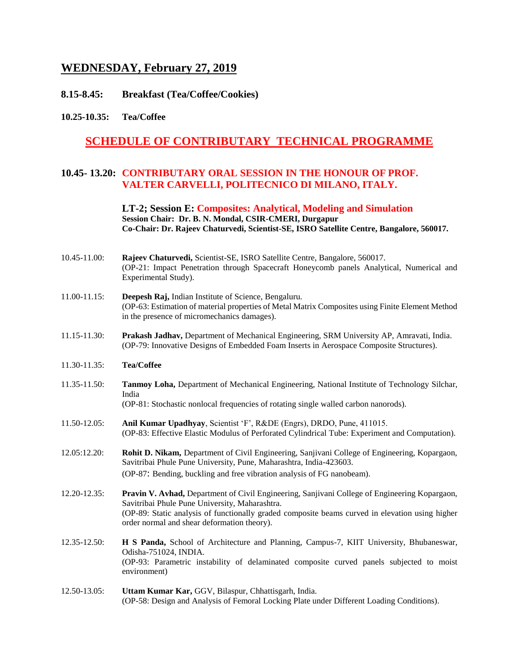## **WEDNESDAY, February 27, 2019**

- **8.15-8.45: Breakfast (Tea/Coffee/Cookies)**
- **10.25-10.35: Tea/Coffee**

## **SCHEDULE OF CONTRIBUTARY TECHNICAL PROGRAMME**

### **10.45- 13.20: CONTRIBUTARY ORAL SESSION IN THE HONOUR OF PROF. VALTER CARVELLI, POLITECNICO DI MILANO, ITALY.**

**LT-2; Session E: Composites: Analytical, Modeling and Simulation Session Chair: Dr. B. N. Mondal, CSIR-CMERI, Durgapur Co-Chair: Dr. Rajeev Chaturvedi, Scientist-SE, ISRO Satellite Centre, Bangalore, 560017.**

- 10.45-11.00: **Rajeev Chaturvedi,** Scientist-SE, ISRO Satellite Centre, Bangalore, 560017. (OP-21: Impact Penetration through Spacecraft Honeycomb panels Analytical, Numerical and Experimental Study).
- 11.00-11.15: **Deepesh Raj,** Indian Institute of Science, Bengaluru. (OP-63: Estimation of material properties of Metal Matrix Composites using Finite Element Method in the presence of micromechanics damages).
- 11.15-11.30: **Prakash Jadhav,** Department of Mechanical Engineering, SRM University AP, Amravati, India. (OP-79: Innovative Designs of Embedded Foam Inserts in Aerospace Composite Structures).
- 11.30-11.35: **Tea/Coffee**
- 11.35-11.50: **Tanmoy Loha,** Department of Mechanical Engineering, National Institute of Technology Silchar, India
	- (OP-81: Stochastic nonlocal frequencies of rotating single walled carbon nanorods).
- 11.50-12.05: **Anil Kumar Upadhyay**, Scientist 'F', R&DE (Engrs), DRDO, Pune, 411015. (OP-83: Effective Elastic Modulus of Perforated Cylindrical Tube: Experiment and Computation).
- 12.05:12.20: **Rohit D. Nikam,** Department of Civil Engineering, Sanjivani College of Engineering, Kopargaon, Savitribai Phule Pune University, Pune, Maharashtra, India-423603. (OP-87: Bending, buckling and free vibration analysis of FG nanobeam).
- 12.20-12.35: **Pravin V. Avhad,** Department of Civil Engineering, Sanjivani College of Engineering Kopargaon, Savitribai Phule Pune University, Maharashtra. (OP-89: Static analysis of functionally graded composite beams curved in elevation using higher order normal and shear deformation theory).
- 12.35-12.50: **H S Panda,** School of Architecture and Planning, Campus-7, KIIT University, Bhubaneswar, Odisha-751024, INDIA. (OP-93: Parametric instability of delaminated composite curved panels subjected to moist environment)
- 12.50-13.05: **Uttam Kumar Kar,** GGV, Bilaspur, Chhattisgarh, India. (OP-58: Design and Analysis of Femoral Locking Plate under Different Loading Conditions).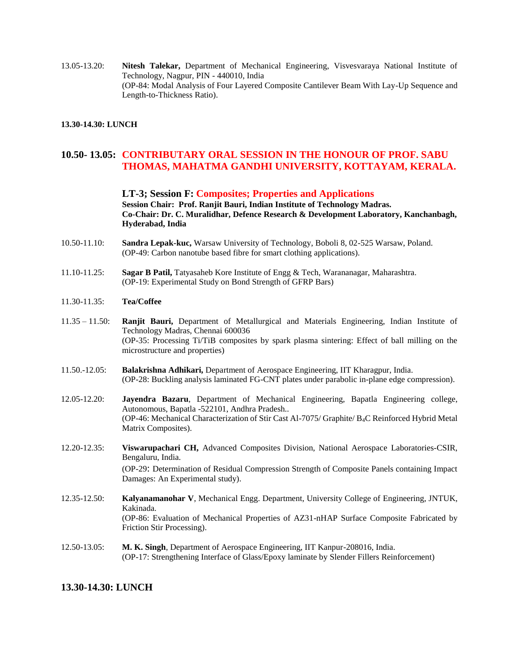13.05-13.20: **Nitesh Talekar,** Department of Mechanical Engineering, Visvesvaraya National Institute of Technology, Nagpur, PIN - 440010, India (OP-84: Modal Analysis of Four Layered Composite Cantilever Beam With Lay-Up Sequence and Length-to-Thickness Ratio).

#### **13.30-14.30: LUNCH**

### **10.50- 13.05: CONTRIBUTARY ORAL SESSION IN THE HONOUR OF PROF. SABU THOMAS, MAHATMA GANDHI UNIVERSITY, KOTTAYAM, KERALA.**

**LT-3; Session F: Composites; Properties and Applications Session Chair: Prof. Ranjit Bauri, Indian Institute of Technology Madras. Co-Chair: Dr. C. Muralidhar, Defence Research & Development Laboratory, Kanchanbagh, Hyderabad, India**

- 10.50-11.10: **Sandra Lepak-kuc,** Warsaw University of Technology, Boboli 8, 02-525 Warsaw, Poland. (OP-49: Carbon nanotube based fibre for smart clothing applications).
- 11.10-11.25: **Sagar B Patil,** Tatyasaheb Kore Institute of Engg & Tech, Warananagar, Maharashtra. (OP-19: Experimental Study on Bond Strength of GFRP Bars)
- 11.30-11.35: **Tea/Coffee**
- 11.35 11.50: **Ranjit Bauri,** Department of Metallurgical and Materials Engineering, Indian Institute of Technology Madras, Chennai 600036 (OP-35: Processing Ti/TiB composites by spark plasma sintering: Effect of ball milling on the microstructure and properties)
- 11.50.-12.05: **Balakrishna Adhikari,** Department of Aerospace Engineering, IIT Kharagpur, India. (OP-28: Buckling analysis laminated FG-CNT plates under parabolic in-plane edge compression).
- 12.05-12.20: **Jayendra Bazaru**, Department of Mechanical Engineering, Bapatla Engineering college, Autonomous, Bapatla -522101, Andhra Pradesh.. (OP-46: Mechanical Characterization of Stir Cast Al-7075/ Graphite/ B4C Reinforced Hybrid Metal Matrix Composites).
- 12.20-12.35: **Viswarupachari CH,** Advanced Composites Division, National Aerospace Laboratories-CSIR, Bengaluru, India. (OP-29: Determination of Residual Compression Strength of Composite Panels containing Impact Damages: An Experimental study).
- 12.35-12.50: **Kalyanamanohar V**, Mechanical Engg. Department, University College of Engineering, JNTUK, Kakinada. (OP-86: Evaluation of Mechanical Properties of AZ31-nHAP Surface Composite Fabricated by Friction Stir Processing).
- 12.50-13.05: **M. K. Singh**, Department of Aerospace Engineering, IIT Kanpur-208016, India. (OP-17: Strengthening Interface of Glass/Epoxy laminate by Slender Fillers Reinforcement)

### **13.30-14.30: LUNCH**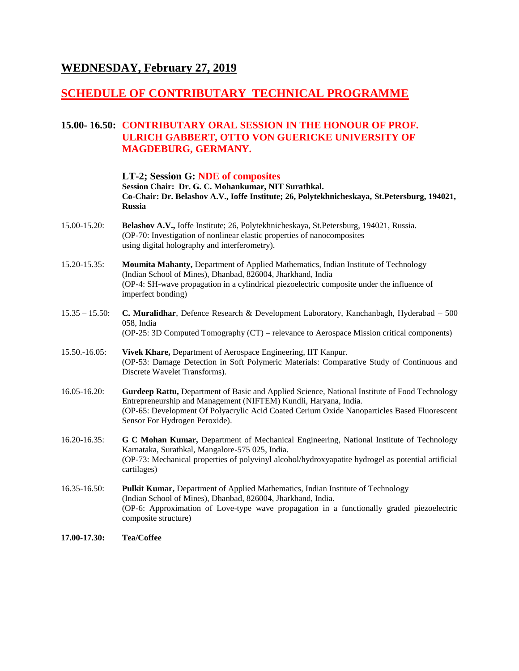## **WEDNESDAY, February 27, 2019**

## **SCHEDULE OF CONTRIBUTARY TECHNICAL PROGRAMME**

## **15.00- 16.50: CONTRIBUTARY ORAL SESSION IN THE HONOUR OF PROF. ULRICH GABBERT, OTTO VON GUERICKE UNIVERSITY OF MAGDEBURG, GERMANY.**

#### **LT-2; Session G: NDE of composites**

**Session Chair: Dr. G. C. Mohankumar, NIT Surathkal. Co-Chair: Dr. Belashov A.V., Ioffe Institute; 26, Polytekhnicheskaya, St.Petersburg, 194021, Russia**

- 15.00-15.20: **Belashov A.V.,** Ioffe Institute; 26, Polytekhnicheskaya, St.Petersburg, 194021, Russia. (OP-70: Investigation of nonlinear elastic properties of nanocomposites using digital holography and interferometry).
- 15.20-15.35: **Moumita Mahanty,** Department of Applied Mathematics, Indian Institute of Technology (Indian School of Mines), Dhanbad, 826004, Jharkhand, India (OP-4: SH-wave propagation in a cylindrical piezoelectric composite under the influence of imperfect bonding)
- 15.35 15.50: **C. Muralidhar**, Defence Research & Development Laboratory, Kanchanbagh, Hyderabad 500 058, India (OP-25: 3D Computed Tomography (CT) – relevance to Aerospace Mission critical components)
- 15.50.-16.05: **Vivek Khare,** Department of Aerospace Engineering, IIT Kanpur. (OP-53: Damage Detection in Soft Polymeric Materials: Comparative Study of Continuous and Discrete Wavelet Transforms).
- 16.05-16.20: **Gurdeep Rattu,** Department of Basic and Applied Science, National Institute of Food Technology Entrepreneurship and Management (NIFTEM) Kundli, Haryana, India. (OP-65: Development Of Polyacrylic Acid Coated Cerium Oxide Nanoparticles Based Fluorescent Sensor For Hydrogen Peroxide).
- 16.20-16.35: **G C Mohan Kumar,** Department of Mechanical Engineering, National Institute of Technology Karnataka, Surathkal, Mangalore-575 025, India. (OP-73: Mechanical properties of polyvinyl alcohol/hydroxyapatite hydrogel as potential artificial cartilages)
- 16.35-16.50: **Pulkit Kumar,** Department of Applied Mathematics, Indian Institute of Technology (Indian School of Mines), Dhanbad, 826004, Jharkhand, India. (OP-6: Approximation of Love-type wave propagation in a functionally graded piezoelectric composite structure)
- **17.00-17.30: Tea/Coffee**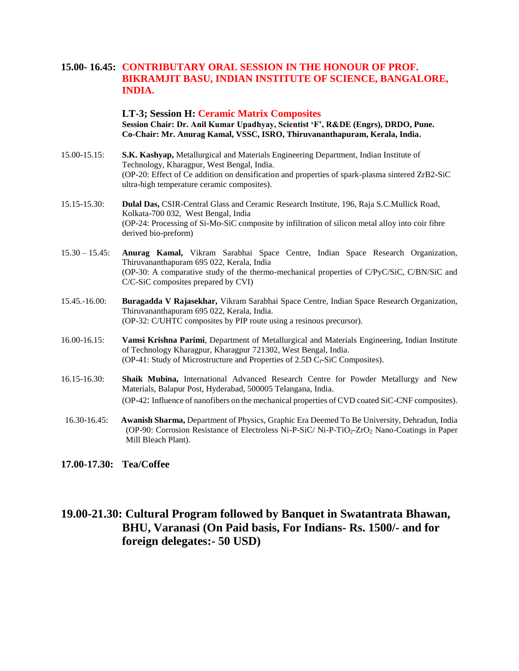## **15.00- 16.45: CONTRIBUTARY ORAL SESSION IN THE HONOUR OF PROF. BIKRAMJIT BASU, INDIAN INSTITUTE OF SCIENCE, BANGALORE, INDIA.**

**LT-3; Session H: Ceramic Matrix Composites Session Chair: Dr. Anil Kumar Upadhyay, Scientist 'F', R&DE (Engrs), DRDO, Pune. Co-Chair: Mr. Anurag Kamal, VSSC, ISRO, Thiruvananthapuram, Kerala, India.**

- 15.00-15.15: **S.K. Kashyap,** Metallurgical and Materials Engineering Department, Indian Institute of Technology, Kharagpur, West Bengal, India. (OP-20: Effect of Ce addition on densification and properties of spark-plasma sintered ZrB2-SiC ultra-high temperature ceramic composites).
- 15.15-15.30: **Dulal Das,** CSIR-Central Glass and Ceramic Research Institute, 196, Raja S.C.Mullick Road, Kolkata-700 032, West Bengal, India (OP-24: Processing of Si-Mo-SiC composite by infiltration of silicon metal alloy into coir fibre derived bio-preform)
- 15.30 15.45: **Anurag Kamal,** Vikram Sarabhai Space Centre, Indian Space Research Organization, Thiruvananthapuram 695 022, Kerala, India (OP-30: A comparative study of the thermo-mechanical properties of C/PyC/SiC, C/BN/SiC and C/C-SiC composites prepared by CVI)
- 15.45.-16.00: **Buragadda V Rajasekhar,** Vikram Sarabhai Space Centre, Indian Space Research Organization, Thiruvananthapuram 695 022, Kerala, India. (OP-32: C/UHTC composites by PIP route using a resinous precursor).
- 16.00-16.15: **Vamsi Krishna Parimi**, Department of Metallurgical and Materials Engineering, Indian Institute of Technology Kharagpur, Kharagpur 721302, West Bengal, India. (OP-41: Study of Microstructure and Properties of 2.5D  $C_f$ -SiC Composites).
- 16.15-16.30: **Shaik Mubina,** International Advanced Research Centre for Powder Metallurgy and New Materials, Balapur Post, Hyderabad, 500005 Telangana, India. (OP-42: Influence of nanofibers on the mechanical properties of CVD coated SiC-CNF composites).
- 16.30-16.45: **Awanish Sharma,** Department of Physics, Graphic Era Deemed To Be University, Dehradun, India (OP-90: Corrosion Resistance of Electroless Ni-P-SiC/ Ni-P-TiO<sub>2</sub>-ZrO<sub>2</sub> Nano-Coatings in Paper Mill Bleach Plant).
- **17.00-17.30: Tea/Coffee**

## **19.00-21.30: Cultural Program followed by Banquet in Swatantrata Bhawan, BHU, Varanasi (On Paid basis, For Indians- Rs. 1500/- and for foreign delegates:- 50 USD)**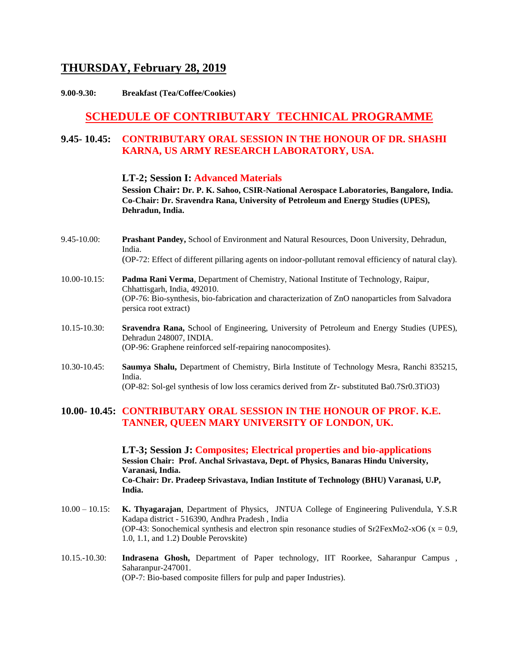## **THURSDAY, February 28, 2019**

**9.00-9.30: Breakfast (Tea/Coffee/Cookies)**

## **SCHEDULE OF CONTRIBUTARY TECHNICAL PROGRAMME**

## **9.45- 10.45: CONTRIBUTARY ORAL SESSION IN THE HONOUR OF DR. SHASHI KARNA, US ARMY RESEARCH LABORATORY, USA.**

#### **LT-2; Session I: Advanced Materials**

**Session Chair: Dr. P. K. Sahoo, CSIR-National Aerospace Laboratories, Bangalore, India. Co-Chair: Dr. Sravendra Rana, University of Petroleum and Energy Studies (UPES), Dehradun, India.**

- 9.45-10.00: **Prashant Pandey,** School of Environment and Natural Resources, Doon University, Dehradun, India.
	- (OP-72: Effect of different pillaring agents on indoor-pollutant removal efficiency of natural clay).
- 10.00-10.15: **Padma Rani Verma**, Department of Chemistry, National Institute of Technology, Raipur, Chhattisgarh, India, 492010. (OP-76: Bio-synthesis, bio-fabrication and characterization of ZnO nanoparticles from Salvadora persica root extract)
- 10.15-10.30: **Sravendra Rana,** School of Engineering, University of Petroleum and Energy Studies (UPES), Dehradun 248007, INDIA. (OP-96: Graphene reinforced self-repairing nanocomposites).
- 10.30-10.45: **Saumya Shalu,** Department of Chemistry, Birla Institute of Technology Mesra, Ranchi 835215, India. (OP-82: Sol-gel synthesis of low loss ceramics derived from Zr- substituted Ba0.7Sr0.3TiO3)

### **10.00- 10.45: CONTRIBUTARY ORAL SESSION IN THE HONOUR OF PROF. K.E. TANNER, QUEEN MARY UNIVERSITY OF LONDON, UK.**

**LT-3; Session J: Composites; Electrical properties and bio-applications Session Chair: Prof. Anchal Srivastava, Dept. of Physics, Banaras Hindu University, Varanasi, India. Co-Chair: Dr. Pradeep Srivastava, Indian Institute of Technology (BHU) Varanasi, U.P, India.**

- 10.00 10.15: **K. Thyagarajan**, Department of Physics, JNTUA College of Engineering Pulivendula, Y.S.R Kadapa district - 516390, Andhra Pradesh , India (OP-43: Sonochemical synthesis and electron spin resonance studies of Sr2FexMo2-xO6 ( $x = 0.9$ , 1.0, 1.1, and 1.2) Double Perovskite)
- 10.15.-10.30: **Indrasena Ghosh,** Department of Paper technology, IIT Roorkee, Saharanpur Campus , Saharanpur-247001. (OP-7: Bio-based composite fillers for pulp and paper Industries).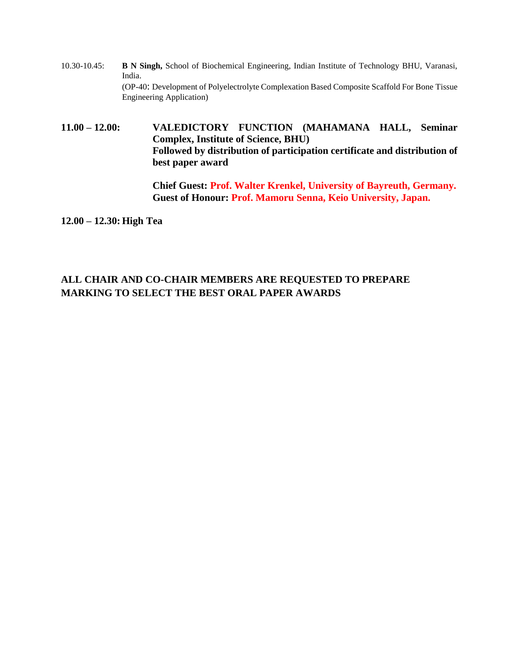10.30-10.45: **B N Singh,** School of Biochemical Engineering, Indian Institute of Technology BHU, Varanasi, India. (OP-40: Development of Polyelectrolyte Complexation Based Composite Scaffold For Bone Tissue Engineering Application)

**11.00 – 12.00: VALEDICTORY FUNCTION (MAHAMANA HALL, Seminar Complex, Institute of Science, BHU) Followed by distribution of participation certificate and distribution of best paper award**

> **Chief Guest: Prof. Walter Krenkel, University of Bayreuth, Germany. Guest of Honour: Prof. Mamoru Senna, Keio University, Japan.**

**12.00 – 12.30: High Tea**

## **ALL CHAIR AND CO-CHAIR MEMBERS ARE REQUESTED TO PREPARE MARKING TO SELECT THE BEST ORAL PAPER AWARDS**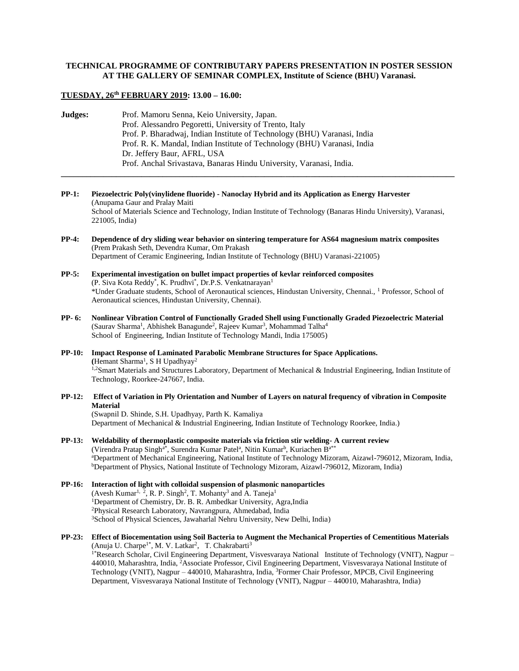#### **TECHNICAL PROGRAMME OF CONTRIBUTARY PAPERS PRESENTATION IN POSTER SESSION AT THE GALLERY OF SEMINAR COMPLEX, Institute of Science (BHU) Varanasi.**

#### **TUESDAY, 26th FEBRUARY 2019: 13.00 – 16.00:**

**Judges:** Prof. Mamoru Senna, Keio University, Japan. Prof. Alessandro Pegoretti, University of Trento, Italy Prof. P. Bharadwaj, Indian Institute of Technology (BHU) Varanasi, India Prof. R. K. Mandal, Indian Institute of Technology (BHU) Varanasi, India Dr. Jeffery Baur, AFRL, USA Prof. Anchal Srivastava, Banaras Hindu University, Varanasi, India.

**PP-1: Piezoelectric Poly(vinylidene fluoride) - Nanoclay Hybrid and its Application as Energy Harvester** (Anupama Gaur and Pralay Maiti School of Materials Science and Technology, Indian Institute of Technology (Banaras Hindu University), Varanasi, 221005, India)

**\_\_\_\_\_\_\_\_\_\_\_\_\_\_\_\_\_\_\_\_\_\_\_\_\_\_\_\_\_\_\_\_\_\_\_\_\_\_\_\_\_\_\_\_\_\_\_\_\_\_\_\_\_\_\_\_\_\_\_\_\_\_\_\_\_\_\_\_\_\_\_\_\_\_\_\_\_\_\_\_\_\_\_\_\_\_\_\_\_\_\_\_\_**

- **PP-4: Dependence of dry sliding wear behavior on sintering temperature for AS64 magnesium matrix composites**  (Prem Prakash Seth, Devendra Kumar, Om Prakash Department of Ceramic Engineering, Indian Institute of Technology (BHU) Varanasi-221005)
- **PP-5: Experimental investigation on bullet impact properties of kevlar reinforced composites** (P. Siva Kota Reddy\*, K. Prudhvi\*, Dr.P.S. Venkatnarayan<sup>1</sup> \*Under Graduate students, School of Aeronautical sciences, Hindustan University, Chennai., <sup>1</sup> Professor, School of Aeronautical sciences, Hindustan University, Chennai).
- **PP- 6: Nonlinear Vibration Control of Functionally Graded Shell using Functionally Graded Piezoelectric Material** (Saurav Sharma<sup>1</sup>, Abhishek Banagunde<sup>2</sup>, Rajeev Kumar<sup>3</sup>, Mohammad Talha<sup>4</sup> School of Engineering, Indian Institute of Technology Mandi, India 175005)
- **PP-10: Impact Response of Laminated Parabolic Membrane Structures for Space Applications.** (Hemant Sharma<sup>1</sup>, S H Upadhyay<sup>2</sup>  $1.2$ Smart Materials and Structures Laboratory, Department of Mechanical & Industrial Engineering, Indian Institute of Technology, Roorkee-247667, India.
- **PP-12: Effect of Variation in Ply Orientation and Number of Layers on natural frequency of vibration in Composite Material**

(Swapnil D. Shinde, S.H. Upadhyay, Parth K. Kamaliya Department of Mechanical & Industrial Engineering, Indian Institute of Technology Roorkee, India.)

- **PP-13: Weldability of thermoplastic composite materials via friction stir welding- A current review** (Virendra Pratap Singh<sup>a\*</sup>, Surendra Kumar Patel<sup>a</sup>, Nitin Kumar<sup>b</sup>, Kuriachen B<sup>a\*\*</sup> <sup>a</sup>Department of Mechanical Engineering, National Institute of Technology Mizoram, Aizawl-796012, Mizoram, India, <sup>b</sup>Department of Physics, National Institute of Technology Mizoram, Aizawl-796012, Mizoram, India)
- **PP-16: Interaction of light with colloidal suspension of plasmonic nanoparticles** (Avesh Kumar<sup>1, 2</sup>, R. P. Singh<sup>2</sup>, T. Mohanty<sup>3</sup> and A. Taneja<sup>1</sup> <sup>1</sup>Department of Chemistry, Dr. B. R. Ambedkar University, Agra, India <sup>2</sup>Physical Research Laboratory, Navrangpura, Ahmedabad, India <sup>3</sup>School of Physical Sciences, Jawaharlal Nehru University, New Delhi, India)
- **PP-23: Effect of Biocementation using Soil Bacteria to Augment the Mechanical Properties of Cementitious Materials** (Anuja U. Charpe<sup>1\*</sup>, M. V. Latkar<sup>2</sup>, T. Chakrabarti<sup>3</sup> 1\*Research Scholar, Civil Engineering Department, Visvesvaraya National Institute of Technology (VNIT), Nagpur – 440010, Maharashtra, India, <sup>2</sup>Associate Professor, Civil Engineering Department, Visvesvaraya National Institute of Technology (VNIT), Nagpur – 440010, Maharashtra, India, <sup>3</sup>Former Chair Professor, MPCB, Civil Engineering Department, Visvesvaraya National Institute of Technology (VNIT), Nagpur – 440010, Maharashtra, India)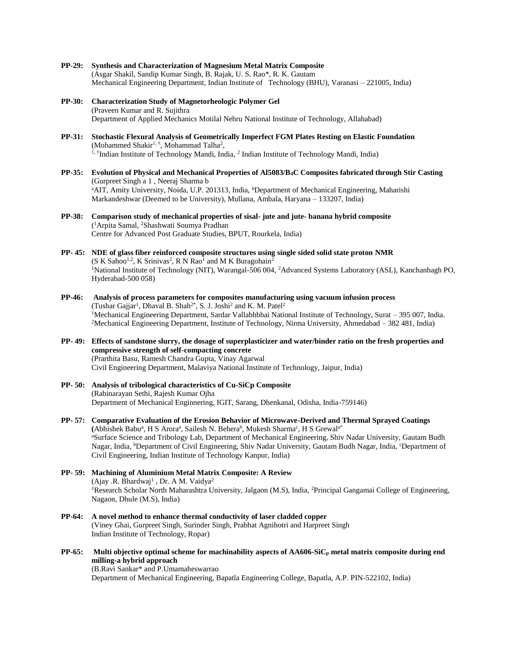- **PP-29: Synthesis and Characterization of Magnesium Metal Matrix Composite** (Asgar Shakil, Sandip Kumar Singh, B. Rajak, U. S. Rao\*, R. K. Gautam Mechanical Engineering Department, Indian Institute of Technology (BHU), Varanasi – 221005, India)
- **PP-30: Characterization Study of Magnetorheologic Polymer Gel** (Praveen Kumar and R. Sujithra Department of Applied Mechanics Motilal Nehru National Institute of Technology, Allahabad)
- **PP-31: Stochastic Flexural Analysis of Geometrically Imperfect FGM Plates Resting on Elastic Foundation** (Mohammed Shakir<sup>1, †</sup>, Mohammad Talha<sup>2</sup>, <sup>1, †</sup>Indian Institute of Technology Mandi, India, <sup>2</sup> Indian Institute of Technology Mandi, India)
- **PP-35: Evolution of Physical and Mechanical Properties of Al5083/B4C Composites fabricated through Stir Casting** (Gurpreet Singh a 1 , Neeraj Sharma b <sup>a</sup>AIT, Amity University, Noida, U.P. 201313, India, <sup>b</sup>Department of Mechanical Engineering, Maharishi Markandeshwar (Deemed to be University), Mullana, Ambala, Haryana – 133207, India)
- **PP-38: Comparison study of mechanical properties of sisal- jute and jute- banana hybrid composite** ( <sup>1</sup>Arpita Samal, <sup>2</sup>Shashwati Soumya Pradhan Centre for Advanced Post Graduate Studies, BPUT, Rourkela, India)
- **PP- 45: NDE of glass fiber reinforced composite structures using single sided solid state proton NMR**  $(S K Sahoo<sup>1,2</sup>, K Srinivas<sup>2</sup>, R N Rao<sup>1</sup> and M K Buragohan<sup>2</sup>$ <sup>1</sup>National Institute of Technology (NIT), Warangal-506 004, <sup>2</sup>Advanced Systems Laboratory (ASL), Kanchanbagh PO, Hyderabad-500 058)
- **PP-46: Analysis of process parameters for composites manufacturing using vacuum infusion process** (Tushar Gajjar<sup>1</sup>, Dhaval B. Shah<sup>2\*</sup>, S. J. Joshi<sup>2</sup> and K. M. Patel<sup>2</sup> <sup>1</sup>Mechanical Engineering Department, Sardar Vallabhbhai National Institute of Technology, Surat – 395 007, India. <sup>2</sup>Mechanical Engineering Department, Institute of Technology, Nirma University, Ahmedabad – 382 481, India)
- **PP- 49: Effects of sandstone slurry, the dosage of superplasticizer and water/binder ratio on the fresh properties and compressive strength of self-compacting concrete** (Prarthita Basu, Ramesh Chandra Gupta, Vinay Agarwal Civil Engineering Department, Malaviya National Institute of Technology, Jaipur, India)
- **PP- 50: Analysis of tribological characteristics of Cu-SiCp Composite** (Rabinarayan Sethi, Rajesh Kumar Ojha Department of Mechanical Enginnering, IGIT, Sarang, Dhenkanal, Odisha, India-759146)
- **PP- 57: Comparative Evaluation of the Erosion Behavior of Microwave-Derived and Thermal Sprayed Coatings** (Abhishek Babu<sup>a</sup>, H S Arora<sup>a</sup>, Sailesh N. Behera<sup>b</sup>, Mukesh Sharma<sup>c</sup>, H S Grewal<sup>a\*</sup> <sup>a</sup>Surface Science and Tribology Lab, Department of Mechanical Engineering, Shiv Nadar University, Gautam Budh Nagar, India, <sup>b</sup>Department of Civil Engineering, Shiv Nadar University, Gautam Budh Nagar, India, <sup>c</sup>Department of Civil Engineering, Indian Institute of Technology Kanpur, India)
- **PP- 59: Machining of Aluminium Metal Matrix Composite: A Review** (Ajay .R. Bhardwaj<sup>1</sup>, Dr. A M. Vaidya<sup>2</sup> <sup>1</sup>Research Scholar North Maharashtra University, Jalgaon (M.S), India, <sup>2</sup>Principal Gangamai College of Engineering, Nagaon, Dhule (M.S), India)
- **PP-64: A novel method to enhance thermal conductivity of laser cladded copper** (Viney Ghai, Gurpreet Singh, Surinder Singh, Prabhat Agnihotri and Harpreet Singh Indian Institute of Technology, Ropar)
- **PP-65: Multi objective optimal scheme for machinability aspects of AA606-SiC<sup>p</sup> metal matrix composite during end milling-a hybrid approach**

(B.Ravi Sankar\* and P.Umamaheswarrao Department of Mechanical Engineering, Bapatla Engineering College, Bapatla, A.P. PIN-522102, India)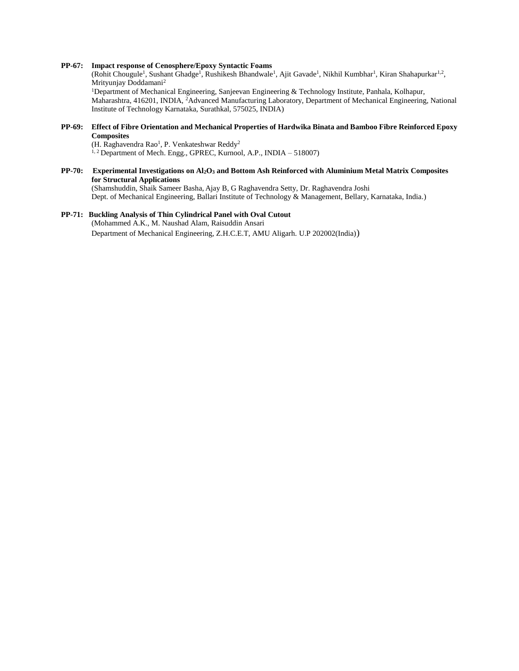#### **PP-67: Impact response of Cenosphere/Epoxy Syntactic Foams**

(Rohit Chougule<sup>1</sup>, Sushant Ghadge<sup>1</sup>, Rushikesh Bhandwale<sup>1</sup>, Ajit Gavade<sup>1</sup>, Nikhil Kumbhar<sup>1</sup>, Kiran Shahapurkar<sup>1,2</sup>, Mrityunjay Doddamani<sup>2</sup> <sup>1</sup>Department of Mechanical Engineering, Sanjeevan Engineering & Technology Institute, Panhala, Kolhapur, Maharashtra, 416201, INDIA, <sup>2</sup>Advanced Manufacturing Laboratory, Department of Mechanical Engineering, National Institute of Technology Karnataka, Surathkal, 575025, INDIA)

**PP-69: Effect of Fibre Orientation and Mechanical Properties of Hardwika Binata and Bamboo Fibre Reinforced Epoxy Composites**

(H. Raghavendra Rao<sup>1</sup>, P. Venkateshwar Reddy<sup>2</sup> <sup>1, 2</sup> Department of Mech. Engg., GPREC, Kurnool, A.P., INDIA – 518007)

**PP-70: Experimental Investigations on Al2O<sup>3</sup> and Bottom Ash Reinforced with Aluminium Metal Matrix Composites for Structural Applications** (Shamshuddin, Shaik Sameer Basha, Ajay B, G Raghavendra Setty, Dr. Raghavendra Joshi Dept. of Mechanical Engineering, Ballari Institute of Technology & Management, Bellary, Karnataka, India.)

## **PP-71: Buckling Analysis of Thin Cylindrical Panel with Oval Cutout**

(Mohammed A.K., M. Naushad Alam, Raisuddin Ansari Department of Mechanical Engineering, Z.H.C.E.T, AMU Aligarh. U.P 202002(India))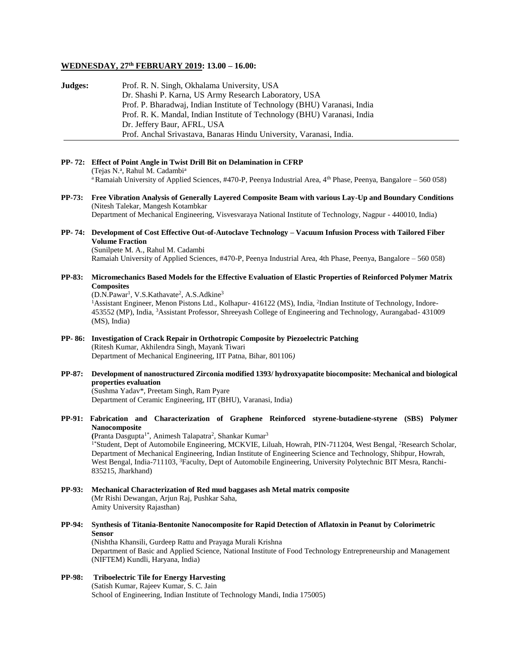#### **WEDNESDAY, 27th FEBRUARY 2019: 13.00 – 16.00:**

| Judges: | Prof. R. N. Singh, Okhalama University, USA                              |
|---------|--------------------------------------------------------------------------|
|         | Dr. Shashi P. Karna, US Army Research Laboratory, USA                    |
|         | Prof. P. Bharadwaj, Indian Institute of Technology (BHU) Varanasi, India |
|         | Prof. R. K. Mandal, Indian Institute of Technology (BHU) Varanasi, India |
|         | Dr. Jeffery Baur, AFRL, USA                                              |
|         | Prof. Anchal Srivastava, Banaras Hindu University, Varanasi, India.      |

**PP- 72: Effect of Point Angle in Twist Drill Bit on Delamination in CFRP** (Tejas N.ª, Rahul M. Cadambi<sup>a</sup> <sup>a</sup>Ramaiah University of Applied Sciences, #470-P, Peenya Industrial Area, 4<sup>th</sup> Phase, Peenya, Bangalore – 560 058)

**PP-73: Free Vibration Analysis of Generally Layered Composite Beam with various Lay-Up and Boundary Conditions** (Nitesh Talekar, Mangesh Kotambkar Department of Mechanical Engineering, Visvesvaraya National Institute of Technology, Nagpur - 440010, India)

#### **PP- 74: Development of Cost Effective Out-of-Autoclave Technology – Vacuum Infusion Process with Tailored Fiber Volume Fraction**

(Sunilpete M. A., Rahul M. Cadambi Ramaiah University of Applied Sciences, #470-P, Peenya Industrial Area, 4th Phase, Peenya, Bangalore – 560 058)

#### **PP-83: Micromechanics Based Models for the Effective Evaluation of Elastic Properties of Reinforced Polymer Matrix Composites**

(D.N.Pawar<sup>1</sup>, V.S.Kathavate<sup>2</sup>, A.S.Adkine<sup>3</sup>

<sup>1</sup>Assistant Engineer, Menon Pistons Ltd., Kolhapur- 416122 (MS), India, <sup>2</sup>Indian Institute of Technology, Indore-453552 (MP), India, <sup>3</sup>Assistant Professor, Shreeyash College of Engineering and Technology, Aurangabad- 431009 (MS), India)

- **PP- 86: Investigation of Crack Repair in Orthotropic Composite by Piezoelectric Patching** (Ritesh Kumar, Akhilendra Singh, Mayank Tiwari Department of Mechanical Engineering, IIT Patna, Bihar, 801106*)*
- **PP-87: Development of nanostructured Zirconia modified 1393/ hydroxyapatite biocomposite: Mechanical and biological properties evaluation** (Sushma Yadav\*, Preetam Singh, Ram Pyare

Department of Ceramic Engineering, IIT (BHU), Varanasi, India)

**PP-91: Fabrication and Characterization of Graphene Reinforced styrene-butadiene-styrene (SBS) Polymer Nanocomposite**

(Pranta Dasgupta<sup>1\*</sup>, Animesh Talapatra<sup>2</sup>, Shankar Kumar<sup>3</sup> <sup>1\*</sup>Student, Dept of Automobile Engineering, MCKVIE, Liluah, Howrah, PIN-711204, West Bengal, <sup>2</sup>Research Scholar, Department of Mechanical Engineering, Indian Institute of Engineering Science and Technology, Shibpur, Howrah, West Bengal, India-711103, <sup>3</sup>Faculty, Dept of Automobile Engineering, University Polytechnic BIT Mesra, Ranchi-835215, Jharkhand)

- **PP-93: Mechanical Characterization of Red mud baggases ash Metal matrix composite** (Mr Rishi Dewangan, Arjun Raj, Pushkar Saha, Amity University Rajasthan)
- **PP-94: Synthesis of Titania-Bentonite Nanocomposite for Rapid Detection of Aflatoxin in Peanut by Colorimetric Sensor** (Nishtha Khansili, Gurdeep Rattu and Prayaga Murali Krishna

Department of Basic and Applied Science, National Institute of Food Technology Entrepreneurship and Management (NIFTEM) Kundli, Haryana, India)

#### **PP-98: Triboelectric Tile for Energy Harvesting** (Satish Kumar, Rajeev Kumar, S. C. Jain School of Engineering, Indian Institute of Technology Mandi, India 175005)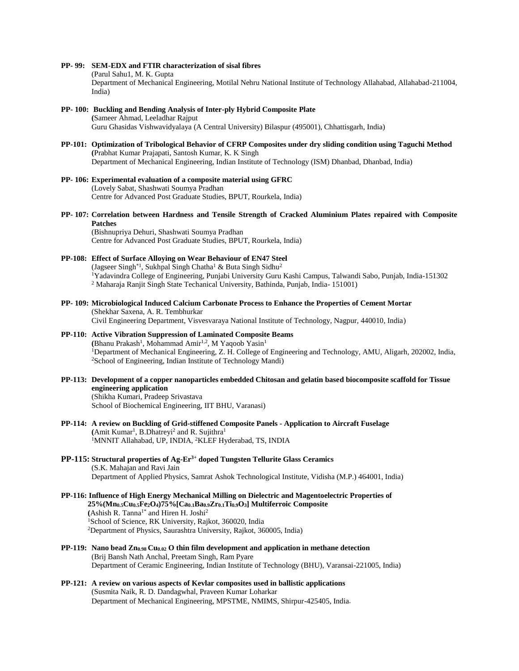#### **PP- 99: SEM-EDX and FTIR characterization of sisal fibres**

(Parul Sahu1, M. K. Gupta

Department of Mechanical Engineering, Motilal Nehru National Institute of Technology Allahabad, Allahabad-211004, India)

- **PP- 100: Buckling and Bending Analysis of Inter-ply Hybrid Composite Plate (**Sameer Ahmad, Leeladhar Rajput Guru Ghasidas Vishwavidyalaya (A Central University) Bilaspur (495001), Chhattisgarh, India)
- **PP-101: Optimization of Tribological Behavior of CFRP Composites under dry sliding condition using Taguchi Method (**Prabhat Kumar Prajapati, Santosh Kumar, K. K Singh Department of Mechanical Engineering, Indian Institute of Technology (ISM) Dhanbad, Dhanbad, India)
- **PP- 106: Experimental evaluation of a composite material using GFRC** (Lovely Sabat, Shashwati Soumya Pradhan Centre for Advanced Post Graduate Studies, BPUT, Rourkela, India)
- **PP- 107: Correlation between Hardness and Tensile Strength of Cracked Aluminium Plates repaired with Composite Patches**

(Bishnupriya Dehuri, Shashwati Soumya Pradhan Centre for Advanced Post Graduate Studies, BPUT, Rourkela, India)

#### **PP-108: Effect of Surface Alloying on Wear Behaviour of EN47 Steel** (Jagseer Singh<sup>\*1</sup>, Sukhpal Singh Chatha<sup>1</sup> & Buta Singh Sidhu<sup>2</sup>

<sup>1</sup>Yadavindra College of Engineering, Punjabi University Guru Kashi Campus, Talwandi Sabo, Punjab, India-151302 <sup>2</sup> Maharaja Ranjit Singh State Techanical University, Bathinda, Punjab, India- 151001)

**PP- 109: Microbiological Induced Calcium Carbonate Process to Enhance the Properties of Cement Mortar** (Shekhar Saxena, A. R. Tembhurkar Civil Engineering Department, Visvesvaraya National Institute of Technology, Nagpur, 440010, India)

#### **PP-110: Active Vibration Suppression of Laminated Composite Beams** (Bhanu Prakash<sup>1</sup>, Mohammad Amir<sup>1,2</sup>, M Yaqoob Yasin<sup>1</sup> <sup>1</sup>Department of Mechanical Engineering, Z. H. College of Engineering and Technology, AMU, Aligarh, 202002, India, <sup>2</sup>School of Engineering, Indian Institute of Technology Mandi)

- **PP-113: Development of a copper nanoparticles embedded Chitosan and gelatin based biocomposite scaffold for Tissue engineering application** (Shikha Kumari, Pradeep Srivastava School of Biochemical Engineering, IIT BHU, Varanasi)
- **PP-114: A review on Buckling of Grid-stiffened Composite Panels - Application to Aircraft Fuselage** (Amit Kumar<sup>1</sup>, B.Dhatreyi<sup>2</sup> and R. Sujithra<sup>1</sup> <sup>1</sup>MNNIT Allahabad, UP, INDIA, <sup>2</sup>KLEF Hyderabad, TS, INDIA
- **PP-115: Structural properties of Ag-Er3+ doped Tungsten Tellurite Glass Ceramics** (S.K. Mahajan and Ravi Jain Department of Applied Physics, Samrat Ashok Technological Institute, Vidisha (M.P.) 464001, India)
- **PP-116: Influence of High Energy Mechanical Milling on Dielectric and Magentoelectric Properties of 25%(Mn0.5Cu0.5Fe2O4)75%[Ca0.1Ba0.9Zr0.1Ti0.9O3] Multiferroic Composite (**Ashish R. Tanna1\* and Hiren H. Joshi<sup>2</sup> <sup>1</sup>School of Science, RK University, Rajkot, 360020, India <sup>2</sup>Department of Physics, Saurashtra University, Rajkot, 360005, India)
- **PP-119: Nano bead Zn0.98 Cu0.02 O thin film development and application in methane detection** (Brij Bansh Nath Anchal, Preetam Singh, Ram Pyare Department of Ceramic Engineering, Indian Institute of Technology (BHU), Varansai-221005, India)
- **PP-121: A review on various aspects of Kevlar composites used in ballistic applications** (Susmita Naik, R. D. Dandagwhal, Praveen Kumar Loharkar Department of Mechanical Engineering, MPSTME, NMIMS, Shirpur-425405, India.